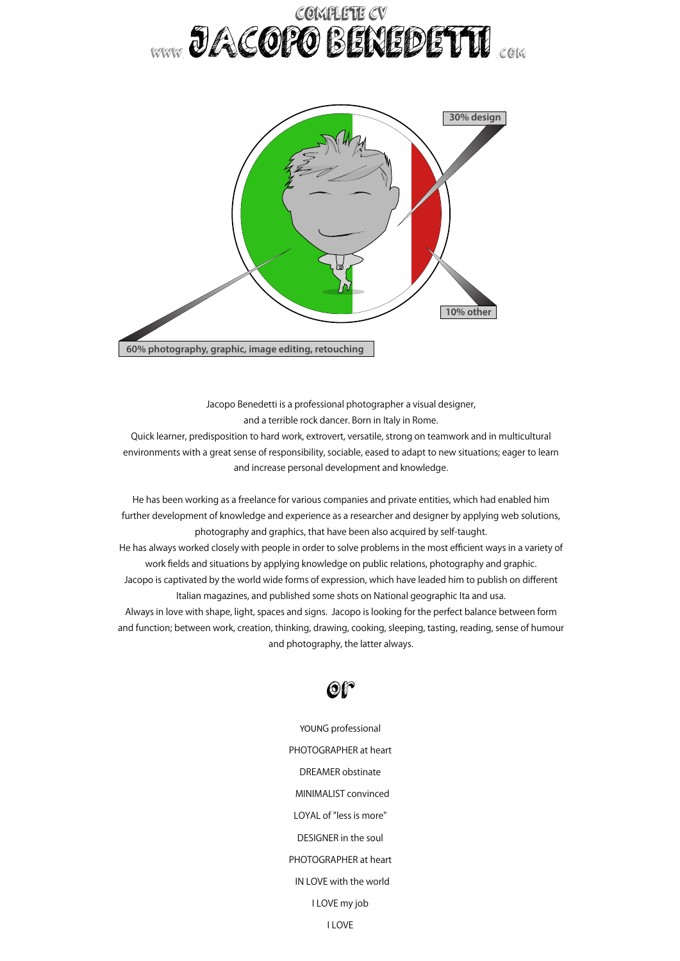## COMPLETE CV www.*de*veder benedetti



Jacopo Benedetti is a professional photographer a visual designer, and a terrible rock dancer. Born in Italy in Rome.

Quick learner, predisposition to hard work, extrovert, versatile, strong on teamwork and in multicultural environments with a great sense of responsibility, sociable, eased to adapt to new situations; eager to learn and increase personal development and knowledge.

He has been working as a freelance for various companies and private entities, which had enabled him further development of knowledge and experience as a researcher and designer by applying web solutions, photography and graphics, that have been also acquired by self-taught. He has always worked closely with people in order to solve problems in the most efficient ways in a variety of work fields and situations by applying knowledge on public relations, photography and graphic. Jacopo is captivated by the world wide forms of expression, which have leaded him to publish on different Italian magazines, and published some shots on National geographic Ita and usa. Always in love with shape, light, spaces and signs. Jacopo is looking for the perfect balance between form and function; between work, creation, thinking, drawing, cooking, sleeping, tasting, reading, sense of humour and photography, the latter always.



YOUNG professional PHOTOGRAPHER at heart DREAMER obstinate MINIMALIST convinced LOYAL of "less is more" DESIGNER in the soul PHOTOGRAPHER at heart IN LOVE with the world I LOVE my job I LOVE